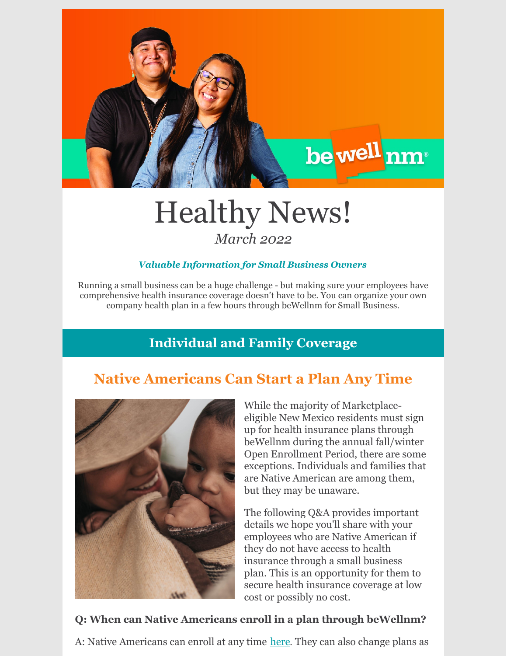

## Healthy News! *March 2022*

#### *Valuable Information for Small Business Owners*

Running a small business can be a huge challenge - but making sure your employees have comprehensive health insurance coverage doesn't have to be. You can organize your own company health plan in a few hours through beWellnm for Small Business.

## **Individual and Family Coverage**

## **Native Americans Can Start a Plan Any Time**



While the majority of Marketplaceeligible New Mexico residents must sign up for health insurance plans through beWellnm during the annual fall/winter Open Enrollment Period, there are some exceptions. Individuals and families that are Native American are among them, but they may be unaware.

The following Q&A provides important details we hope you'll share with your employees who are Native American if they do not have access to health insurance through a small business plan. This is an opportunity for them to secure health insurance coverage at low cost or possibly no cost.

#### **Q: When can Native Americans enroll in a plan through beWellnm?**

A: Native Americans can enroll at any time [here](https://www.bewellnm.com/getting-started/new-customers/are-you-native-american/). They can also change plans as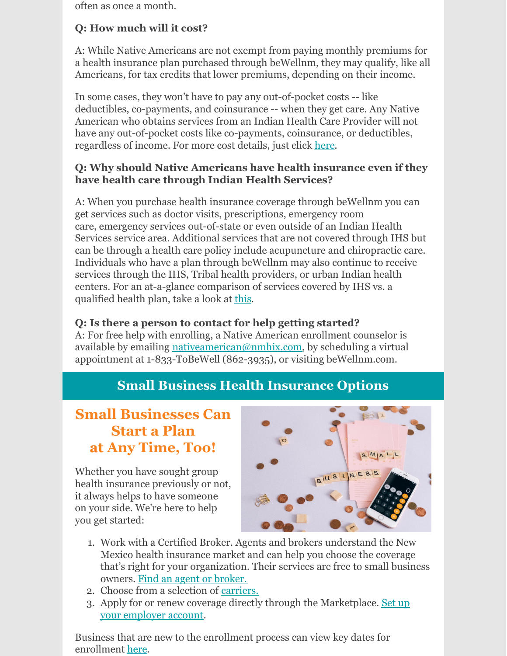often as once a month.

#### **Q: How much will it cost?**

A: While Native Americans are not exempt from paying monthly premiums for a health insurance plan purchased through beWellnm, they may qualify, like all Americans, for tax credits that lower premiums, depending on their income.

In some cases, they won't have to pay any out-of-pocket costs -- like deductibles, co-payments, and coinsurance -- when they get care. Any Native American who obtains services from an Indian Health Care Provider will not have any out-of-pocket costs like co-payments, coinsurance, or deductibles, regardless of income. For more cost details, just click [here](https://www.bewellnm.com/wp-content/uploads/2021/11/Native-American-Cost-Sharing-Flyer-2021.pdf).

#### **Q: Why should Native Americans have health insurance even if they have health care through Indian Health Services?**

A: When you purchase health insurance coverage through beWellnm you can get services such as doctor visits, prescriptions, emergency room care, emergency services out-of-state or even outside of an Indian Health Services service area. Additional services that are not covered through IHS but can be through a health care policy include acupuncture and chiropractic care. Individuals who have a plan through beWellnm may also continue to receive services through the IHS, Tribal health providers, or urban Indian health centers. For an at-a-glance comparison of services covered by IHS vs. a qualified health plan, take a look at [this](https://www.bewellnm.com/wp-content/uploads/2021/10/Health-Benefits-for-NA-compliments-IHS.pdf).

#### **Q: Is there a person to contact for help getting started?**

A: For free help with enrolling, a Native American enrollment counselor is available by emailing [nativeamerican@nmhix.com](mailto:nativeamerican@nmhix.com), by scheduling a virtual appointment at 1-833-ToBeWell (862-3935), or visiting beWellnm.com.

### **Small Business Health Insurance Options**

## **Small Businesses Can Start a Plan at Any Time, Too!**

Whether you have sought group health insurance previously or not, it always helps to have someone on your side. We're here to help you get started:



- 1. Work with a Certified Broker. Agents and brokers understand the New Mexico health insurance market and can help you choose the coverage that's right for your organization. Their services are free to small business owners. Find an agent or [broker.](https://www.bewellnm.com/we-can-help/find-help-near-you/)
- 2. Choose from a selection of [carriers.](https://www.bewellnm.com/getting-started/small-business-health-options/)
- 3. Apply for or renew coverage directly through the [Marketplace.](http://shop.nmhix.com/hix/) Set up your employer account.

Business that are new to the enrollment process can view key dates for enrollment [here](https://www.bewellnm.com/wp-content/uploads/2021/10/2022-New-Small-Business-Timeline.pdf).